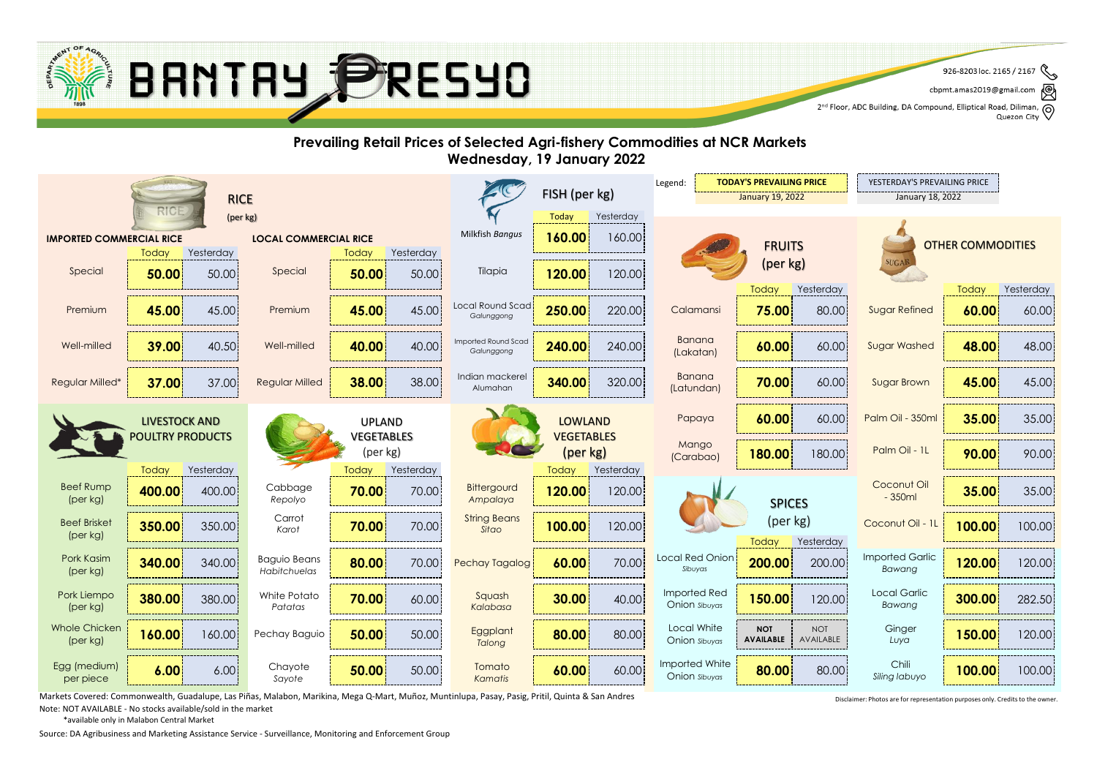

৻៙ cbpmt.amas2019@gmail.com

2<sup>nd</sup> Floor, ADC Building, DA Compound, Elliptical Road, Diliman, Q<br>2<sup>nd</sup> Floor, ADC Building, DA Compound, Elliptical Road, Diliman, Q Quezon City

#### **Prevailing Retail Prices of Selected Agri-fishery Commodities at NCR Markets Wednesday, 19 January 2022 TODAY'S PREVAILING PRICE F** YESTERDAY'S PREVAILING PRICE Legend: FISH (per kg) January 19, 2022 January 18, 2022 RICE (per kg) Today Yesterday **160.00** Milkfish *Bangus* **IMPORTED COMMERCIAL RICE LOCAL COMMERCIAL RICE** 160.00 **FRUITS** OTHER COMMODITIES Today Yesterday Yesterday **Today** (per kg) **SUGA** 50.00 **120.00** 120.00 Special Special Tilapia **50.00 50.00** 50.00 Today Yesterday Today Yesterday Local Round Scad Premium Premium Calamansi Sugar Refined **45.00** 45.00 **45.00** 45.00 **250.00** 220.00 **75.00** 80.00 **60.00** 60.00 *Galunggong* Banana Imported Round Scad Well-milled **39.00** 40.50 **40.00** 40.00 **240.00** 240.00 **60.00** 60.00 **48.00** 48.00 Well-milled **40.00 40.00 Well-milled 40.00 40.00 1240.00 1240.00 1240.00 1240.00 1240.00 1240.00 1240.00 1240.00 1240.00 1240.00 1240.00 1240.00 1240.00 1240.00 1240.00 1240.00 1240.00 1240.00 1240.00 1240.00 1240.00 1240.** *Galunggong* (Lakatan)  $\text{Regular}$  Milled  $\begin{vmatrix} 38.00 & 38.00 \end{vmatrix}$  a Indian mackerel Banana Regular Milled\* **37.00** 37.00 **38.00** 38.00 **340.00** 320.00 **70.00** 60.00 **45.00** 45.00  $\begin{array}{|c|c|c|c|c|c|}\n\hline \end{array}$  **70.00** 60.00 Sugar Brown Alumahan Papaya **60.00** 60.00 **Palm Oil - 350ml 35.00** 35.00 LIVESTOCK AND UPLAND LOWLAND POULTRY PRODUCTS VEGETABLES VEGETABLES **Mango** (per kg) (per kg) Palm Oil - 1L **180.00** 180.00 **Palm Oil - 1L | 90.00** 90.00 (Carabao) Today Yesterday Today Yesterday **Today** Yesterday Coconut Oil Beef Rump Cabbage **Bittergourd 400.00** 400.00 **70.00** 70.00 **120.00** 120.00 **35.00** 35.00 - 350ml (per kg) *Repolyo Ampalaya* SPICES Carrot String Beans (per kg) **Beef Brisket** Coconut Oil - 11 **70.00** 70.00 **100.00 100.00 350.00** 350.00 Karof **70.00** 70.00 360.00 360.00 120.00 120.00 120.00 120.00 120.00 120 Karof 100.**00** 100.00 120.00 *Karot Sitao* (per kg) Today Yesterday Imported Garlic Pork Kasim Baguio Beans Local Red Onion Pechay Tagalog **340.00** 340.00 **80.00** 70.00 **60.00** 70.00 **200.00** 200.00 **120.00** 120.00 *Sibuyas Bawang* (per kg) *Habitchuelas* Imported Red Pork Liempo White Potato Local Garlic Squash **380.00** 380.00 **70.00** 60.00 **30.00** 40.00 **150.00** 120.00 **300.00** 282.50 Onion *Sibuyas Bawang* (per kg) *Patatas Kalabasa* Whole Chicken Local White NOT **Ginger Eggplant 160.00** 160.00 **Pechay Baguio** 50.00 50.00 **Eggplant 80.00** 80.00 **Bullet AVAILAL** Pechay Baguio NOI **150.00** 120.00 (per kg) Onion *Sibuyas* **AVAILABLE** *Luya Talong* Imported White Chili Egg (medium) Chavote Tomato **6.00** 6.00 **50.00** 50.00 **60.00** 60.00 **80.00** 80.00 **100.00** 100.00 Onion *Sibuyas Siling labuyo* per piece *Sayote Kamatis*

Markets Covered: Commonwealth, Guadalupe, Las Piñas, Malabon, Marikina, Mega Q-Mart, Muñoz, Muntinlupa, Pasay, Pasig, Pritil, Quinta & San Andres

Note: NOT AVAILABLE - No stocks available/sold in the market

\*available only in Malabon Central Market

Source: DA Agribusiness and Marketing Assistance Service - Surveillance, Monitoring and Enforcement Group

Disclaimer: Photos are for representation purposes only. Credits to the owner.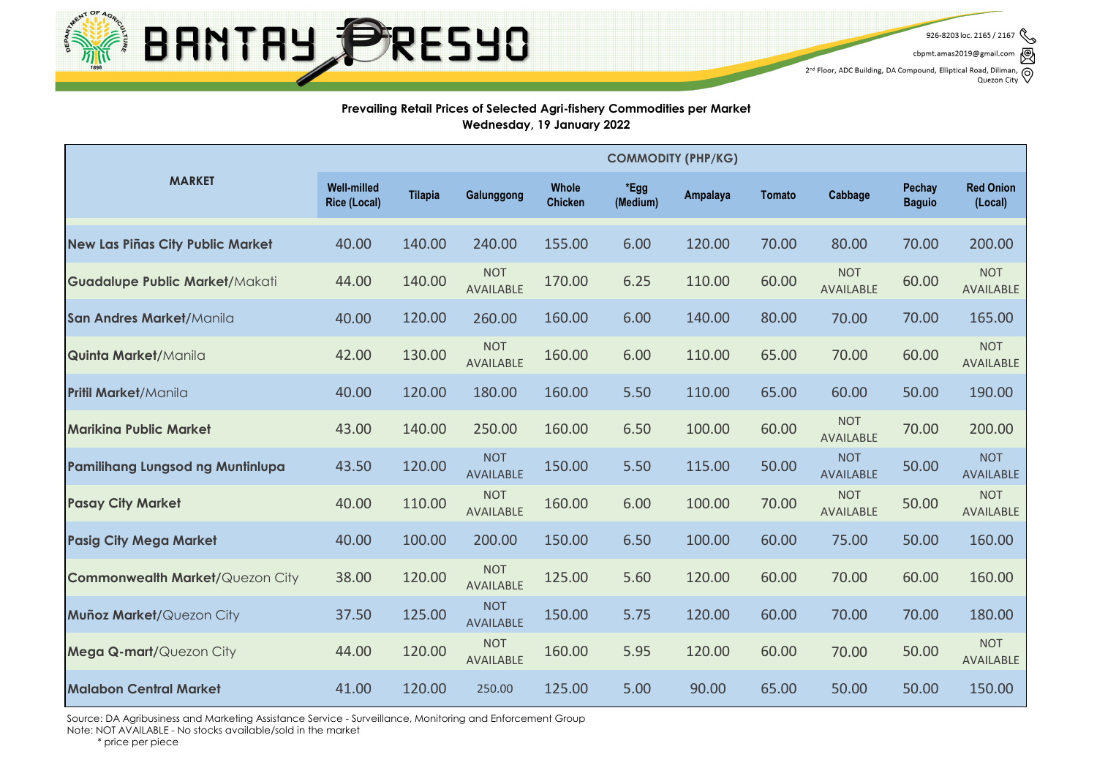BANTAY PRESYO

926-8203 loc. 2165 / 2167

cbpmt.amas2019@gmail.com

 $2^{nd}$  Floor, ADC Building, DA Compound, Elliptical Road, Diliman,  $\bigotimes$  Quezon City

### **Prevailing Retail Prices of Selected Agri-fishery Commodities per Market Wednesday, 19 January 2022**

|                                         | <b>COMMODITY (PHP/KG)</b>                 |                |                                |                         |                  |          |               |                                |                         |                                |
|-----------------------------------------|-------------------------------------------|----------------|--------------------------------|-------------------------|------------------|----------|---------------|--------------------------------|-------------------------|--------------------------------|
| <b>MARKET</b>                           | <b>Well-milled</b><br><b>Rice (Local)</b> | <b>Tilapia</b> | Galunggong                     | Whole<br><b>Chicken</b> | *Egg<br>(Medium) | Ampalaya | <b>Tomato</b> | Cabbage                        | Pechay<br><b>Baguio</b> | <b>Red Onion</b><br>(Local)    |
| <b>New Las Piñas City Public Market</b> | 40.00                                     | 140.00         | 240.00                         | 155.00                  | 6.00             | 120.00   | 70.00         | 80.00                          | 70.00                   | 200.00                         |
| <b>Guadalupe Public Market/Makati</b>   | 44.00                                     | 140.00         | <b>NOT</b><br>AVAILABLE        | 170.00                  | 6.25             | 110.00   | 60.00         | <b>NOT</b><br><b>AVAILABLE</b> | 60.00                   | <b>NOT</b><br>AVAILABLE        |
| San Andres Market/Manila                | 40.00                                     | 120.00         | 260.00                         | 160.00                  | 6.00             | 140.00   | 80.00         | 70.00                          | 70.00                   | 165.00                         |
| <b>Quinta Market/Manila</b>             | 42.00                                     | 130.00         | <b>NOT</b><br><b>AVAILABLE</b> | 160.00                  | 6.00             | 110.00   | 65.00         | 70.00                          | 60.00                   | <b>NOT</b><br>AVAILABLE        |
| <b>Pritil Market/Manila</b>             | 40.00                                     | 120.00         | 180.00                         | 160.00                  | 5.50             | 110.00   | 65.00         | 60.00                          | 50.00                   | 190.00                         |
| <b>Marikina Public Market</b>           | 43.00                                     | 140.00         | 250.00                         | 160.00                  | 6.50             | 100.00   | 60.00         | <b>NOT</b><br><b>AVAILABLE</b> | 70.00                   | 200.00                         |
| <b>Pamilihang Lungsod ng Muntinlupa</b> | 43.50                                     | 120.00         | <b>NOT</b><br><b>AVAILABLE</b> | 150.00                  | 5.50             | 115.00   | 50.00         | <b>NOT</b><br><b>AVAILABLE</b> | 50.00                   | <b>NOT</b><br><b>AVAILABLE</b> |
| <b>Pasay City Market</b>                | 40.00                                     | 110.00         | <b>NOT</b><br><b>AVAILABLE</b> | 160.00                  | 6.00             | 100.00   | 70.00         | <b>NOT</b><br>AVAILABLE        | 50.00                   | <b>NOT</b><br>AVAILABLE        |
| <b>Pasig City Mega Market</b>           | 40.00                                     | 100.00         | 200.00                         | 150.00                  | 6.50             | 100.00   | 60.00         | 75.00                          | 50.00                   | 160.00                         |
| <b>Commonwealth Market/Quezon City</b>  | 38.00                                     | 120.00         | <b>NOT</b><br>AVAILABLE        | 125.00                  | 5.60             | 120.00   | 60.00         | 70.00                          | 60.00                   | 160.00                         |
| Muñoz Market/Quezon City                | 37.50                                     | 125.00         | <b>NOT</b><br><b>AVAILABLE</b> | 150.00                  | 5.75             | 120.00   | 60.00         | 70.00                          | 70.00                   | 180.00                         |
| <b>Mega Q-mart/</b> Quezon City         | 44.00                                     | 120.00         | <b>NOT</b><br><b>AVAILABLE</b> | 160.00                  | 5.95             | 120.00   | 60.00         | 70.00                          | 50.00                   | <b>NOT</b><br>AVAILABLE        |
| <b>Malabon Central Market</b>           | 41.00                                     | 120.00         | 250.00                         | 125.00                  | 5.00             | 90.00    | 65.00         | 50.00                          | 50.00                   | 150.00                         |

Source: DA Agribusiness and Marketing Assistance Service - Surveillance, Monitoring and Enforcement Group

Note: NOT AVAILABLE - No stocks available/sold in the market

\* price per piece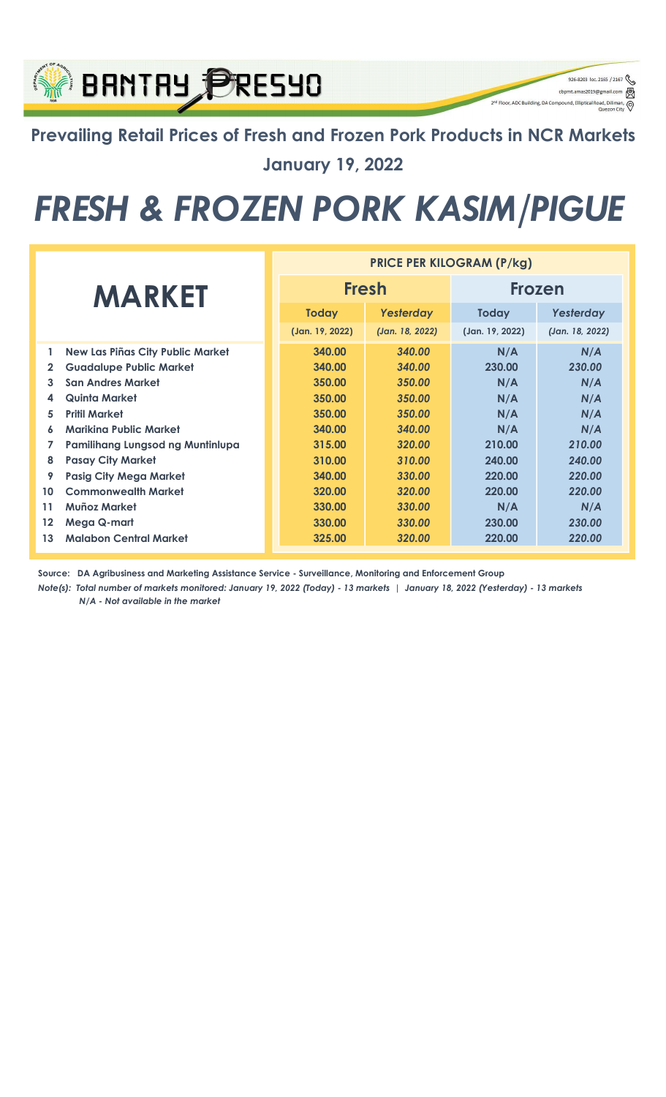## Prevailing Retail Prices of Fresh and Frozen Pork Products in NCR Markets January 19, 2022

926-8203 loc. 2165 / 2167

q

cbpmt.amas2019@gn

2<sup>nd</sup> Floor, ADC Building, DA Compound, Elliptical Re

**BANTAY PRESYO** 

## FRESH & FROZEN PORK KASIM/PIGUE

|                |                                         | <b>PRICE PER KILOGRAM (P/kg)</b> |                 |                 |                 |  |  |
|----------------|-----------------------------------------|----------------------------------|-----------------|-----------------|-----------------|--|--|
| <b>MARKET</b>  |                                         |                                  | <b>Fresh</b>    | <b>Frozen</b>   |                 |  |  |
|                |                                         | <b>Today</b>                     | Yesterday       | <b>Today</b>    | Yesterday       |  |  |
|                |                                         | (Jan. 19, 2022)                  | (Jan. 18, 2022) | (Jan. 19, 2022) | (Jan. 18, 2022) |  |  |
| 1              | <b>New Las Piñas City Public Market</b> | 340.00                           | 340.00          | N/A             | N/A             |  |  |
| $\overline{2}$ | <b>Guadalupe Public Market</b>          | 340.00                           | 340.00          | 230.00          | 230.00          |  |  |
| 3              | <b>San Andres Market</b>                | 350.00                           | 350.00          | N/A             | N/A             |  |  |
| 4              | Quinta Market                           | 350.00                           | 350.00          | N/A             | N/A             |  |  |
| 5              | <b>Pritil Market</b>                    | 350.00                           | 350.00          | N/A             | N/A             |  |  |
| 6              | Mariking Public Market                  | 340.00                           | 340.00          | N/A             | N/A             |  |  |
| 7              | Pamilihang Lungsod ng Muntinlupa        | 315.00                           | 320.00          | 210.00          | 210.00          |  |  |
| 8              | <b>Pasay City Market</b>                | 310.00                           | 310.00          | 240.00          | 240.00          |  |  |
| 9              | <b>Pasig City Mega Market</b>           | 340.00                           | 330.00          | 220.00          | 220.00          |  |  |
| 10             | <b>Commonwealth Market</b>              | 320.00                           | 320.00          | 220.00          | 220.00          |  |  |
| 11             | Muñoz Market                            | 330.00                           | 330.00          | N/A             | N/A             |  |  |
| $12 \,$        | Mega Q-mart                             | 330.00                           | 330.00          | 230.00          | 230.00          |  |  |
| 13             | <b>Malabon Central Market</b>           | 325.00                           | 320.00          | 220.00          | 220.00          |  |  |

Source: DA Agribusiness and Marketing Assistance Service - Surveillance, Monitoring and Enforcement Group

Note(s): Total number of markets monitored: January 19, 2022 (Today) - 13 markets | January 18, 2022 (Yesterday) - 13 markets N/A - Not available in the market